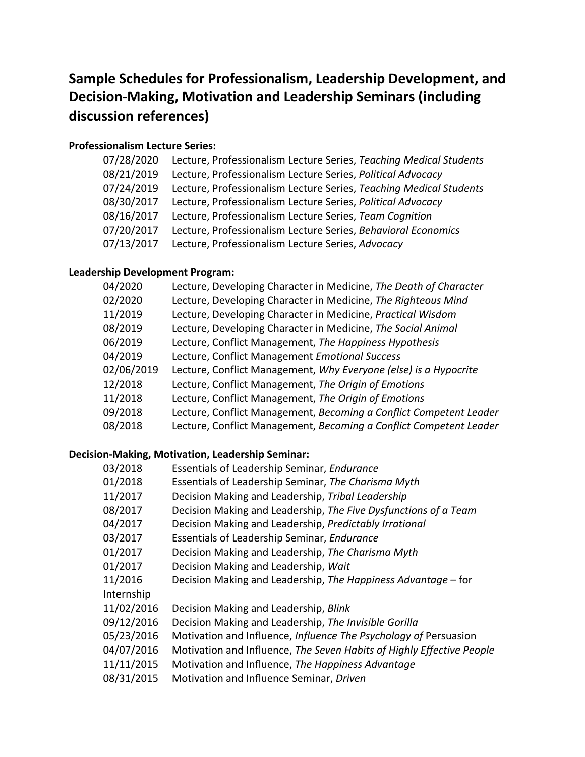## **Sample Schedules for Professionalism, Leadership Development, and Decision-Making, Motivation and Leadership Seminars (including discussion references)**

## **Professionalism Lecture Series:**

| 07/28/2020 | Lecture, Professionalism Lecture Series, Teaching Medical Students |
|------------|--------------------------------------------------------------------|
| 08/21/2019 | Lecture, Professionalism Lecture Series, Political Advocacy        |
| 07/24/2019 | Lecture, Professionalism Lecture Series, Teaching Medical Students |
| 08/30/2017 | Lecture, Professionalism Lecture Series, Political Advocacy        |
| 08/16/2017 | Lecture, Professionalism Lecture Series, Team Cognition            |
| 07/20/2017 | Lecture, Professionalism Lecture Series, Behavioral Economics      |
| 07/13/2017 | Lecture, Professionalism Lecture Series, Advocacy                  |

## **Leadership Development Program:**

| 04/2020    | Lecture, Developing Character in Medicine, The Death of Character  |
|------------|--------------------------------------------------------------------|
| 02/2020    | Lecture, Developing Character in Medicine, The Righteous Mind      |
| 11/2019    | Lecture, Developing Character in Medicine, Practical Wisdom        |
| 08/2019    | Lecture, Developing Character in Medicine, The Social Animal       |
| 06/2019    | Lecture, Conflict Management, The Happiness Hypothesis             |
| 04/2019    | Lecture, Conflict Management Emotional Success                     |
| 02/06/2019 | Lecture, Conflict Management, Why Everyone (else) is a Hypocrite   |
| 12/2018    | Lecture, Conflict Management, The Origin of Emotions               |
| 11/2018    | Lecture, Conflict Management, The Origin of Emotions               |
| 09/2018    | Lecture, Conflict Management, Becoming a Conflict Competent Leader |
| 08/2018    | Lecture, Conflict Management, Becoming a Conflict Competent Leader |

## **Decision-Making, Motivation, Leadership Seminar:**

| 03/2018    | Essentials of Leadership Seminar, Endurance                           |
|------------|-----------------------------------------------------------------------|
| 01/2018    | Essentials of Leadership Seminar, The Charisma Myth                   |
| 11/2017    | Decision Making and Leadership, Tribal Leadership                     |
| 08/2017    | Decision Making and Leadership, The Five Dysfunctions of a Team       |
| 04/2017    | Decision Making and Leadership, Predictably Irrational                |
| 03/2017    | Essentials of Leadership Seminar, Endurance                           |
| 01/2017    | Decision Making and Leadership, The Charisma Myth                     |
| 01/2017    | Decision Making and Leadership, Wait                                  |
| 11/2016    | Decision Making and Leadership, The Happiness Advantage – for         |
| Internship |                                                                       |
| 11/02/2016 | Decision Making and Leadership, Blink                                 |
| 09/12/2016 | Decision Making and Leadership, The Invisible Gorilla                 |
| 05/23/2016 | Motivation and Influence, Influence The Psychology of Persuasion      |
| 04/07/2016 | Motivation and Influence, The Seven Habits of Highly Effective People |
| 11/11/2015 | Motivation and Influence, The Happiness Advantage                     |
| 08/31/2015 | Motivation and Influence Seminar, Driven                              |
|            |                                                                       |